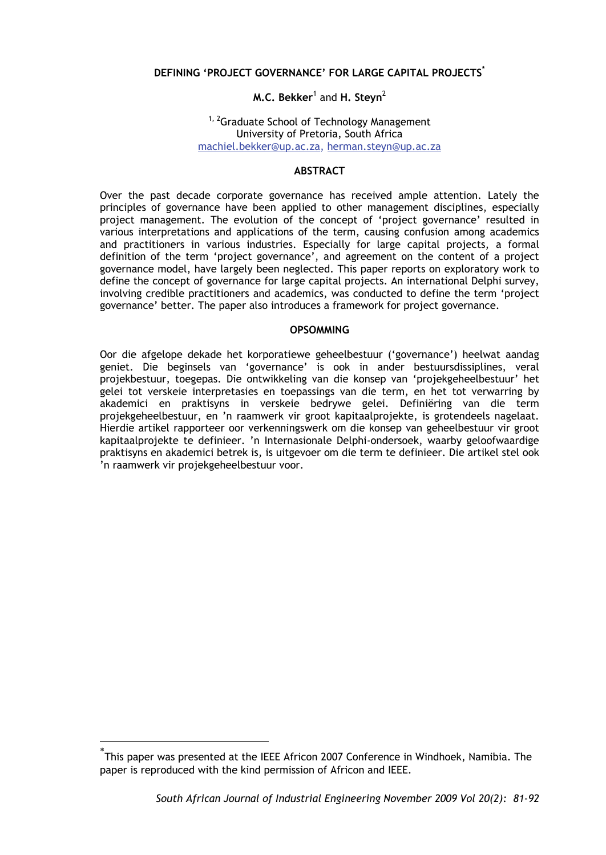# **DEFINING 'PROJECT GOVERNANCE' FOR LARGE CAPITAL PROJECTS\***

### **M.C. Bekker<sup>1</sup> and H. Steyn<sup>2</sup>**

### <sup>1, 2</sup>Graduate School of Technology Management University of Pretoria, South Africa machiel.bekker@up.ac.za, herman.steyn@up.ac.za

#### **ABSTRACT**

Over the past decade corporate governance has received ample attention. Lately the principles of governance have been applied to other management disciplines, especially project management. The evolution of the concept of 'project governance' resulted in various interpretations and applications of the term, causing confusion among academics and practitioners in various industries. Especially for large capital projects, a formal definition of the term 'project governance', and agreement on the content of a project governance model, have largely been neglected. This paper reports on exploratory work to define the concept of governance for large capital projects. An international Delphi survey, involving credible practitioners and academics, was conducted to define the term 'project governance' better. The paper also introduces a framework for project governance.

#### **OPSOMMING**

Oor die afgelope dekade het korporatiewe geheelbestuur ('governance') heelwat aandag geniet. Die beginsels van 'governance' is ook in ander bestuursdissiplines, veral projekbestuur, toegepas. Die ontwikkeling van die konsep van 'projekgeheelbestuur' het gelei tot verskeie interpretasies en toepassings van die term, en het tot verwarring by akademici en praktisyns in verskeie bedrywe gelei. Definiëring van die term projekgeheelbestuur, en 'n raamwerk vir groot kapitaalprojekte, is grotendeels nagelaat. Hierdie artikel rapporteer oor verkenningswerk om die konsep van geheelbestuur vir groot kapitaalprojekte te definieer. 'n Internasionale Delphi-ondersoek, waarby geloofwaardige praktisyns en akademici betrek is, is uitgevoer om die term te definieer. Die artikel stel ook 'n raamwerk vir projekgeheelbestuur voor.

1

<sup>\*</sup> This paper was presented at the IEEE Africon 2007 Conference in Windhoek, Namibia. The paper is reproduced with the kind permission of Africon and IEEE.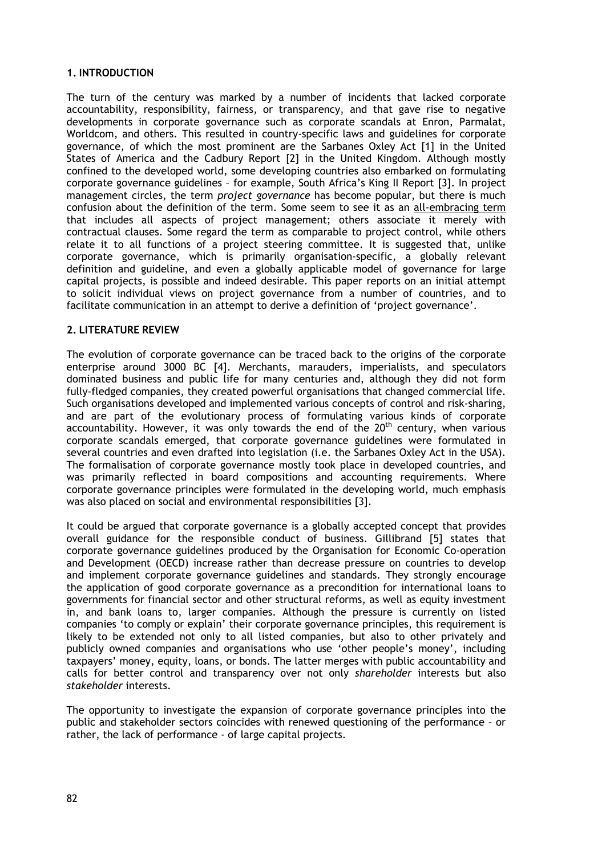## **1. INTRODUCTION**

The turn of the century was marked by a number of incidents that lacked corporate accountability, responsibility, fairness, or transparency, and that gave rise to negative developments in corporate governance such as corporate scandals at Enron, Parmalat, Worldcom, and others. This resulted in country-specific laws and guidelines for corporate governance, of which the most prominent are the Sarbanes Oxley Act [1] in the United States of America and the Cadbury Report [2] in the United Kingdom. Although mostly confined to the developed world, some developing countries also embarked on formulating corporate governance guidelines – for example, South Africa's King II Report [3]. In project management circles, the term *project governance* has become popular, but there is much confusion about the definition of the term. Some seem to see it as an all-embracing term that includes all aspects of project management; others associate it merely with contractual clauses. Some regard the term as comparable to project control, while others relate it to all functions of a project steering committee. It is suggested that, unlike corporate governance, which is primarily organisation-specific, a globally relevant definition and guideline, and even a globally applicable model of governance for large capital projects, is possible and indeed desirable. This paper reports on an initial attempt to solicit individual views on project governance from a number of countries, and to facilitate communication in an attempt to derive a definition of 'project governance'.

#### **2. LITERATURE REVIEW**

The evolution of corporate governance can be traced back to the origins of the corporate enterprise around 3000 BC [4]. Merchants, marauders, imperialists, and speculators dominated business and public life for many centuries and, although they did not form fully-fledged companies, they created powerful organisations that changed commercial life. Such organisations developed and implemented various concepts of control and risk-sharing, and are part of the evolutionary process of formulating various kinds of corporate accountability. However, it was only towards the end of the 20<sup>th</sup> century, when various corporate scandals emerged, that corporate governance guidelines were formulated in several countries and even drafted into legislation (i.e. the Sarbanes Oxley Act in the USA). The formalisation of corporate governance mostly took place in developed countries, and was primarily reflected in board compositions and accounting requirements. Where corporate governance principles were formulated in the developing world, much emphasis was also placed on social and environmental responsibilities [3].

It could be argued that corporate governance is a globally accepted concept that provides overall guidance for the responsible conduct of business. Gillibrand [5] states that corporate governance guidelines produced by the Organisation for Economic Co-operation and Development (OECD) increase rather than decrease pressure on countries to develop and implement corporate governance guidelines and standards. They strongly encourage the application of good corporate governance as a precondition for international loans to governments for financial sector and other structural reforms, as well as equity investment in, and bank loans to, larger companies. Although the pressure is currently on listed companies 'to comply or explain' their corporate governance principles, this requirement is likely to be extended not only to all listed companies, but also to other privately and publicly owned companies and organisations who use 'other people's money', including taxpayers' money, equity, loans, or bonds. The latter merges with public accountability and calls for better control and transparency over not only *shareholder* interests but also *stakeholder* interests.

The opportunity to investigate the expansion of corporate governance principles into the public and stakeholder sectors coincides with renewed questioning of the performance – or rather, the lack of performance - of large capital projects.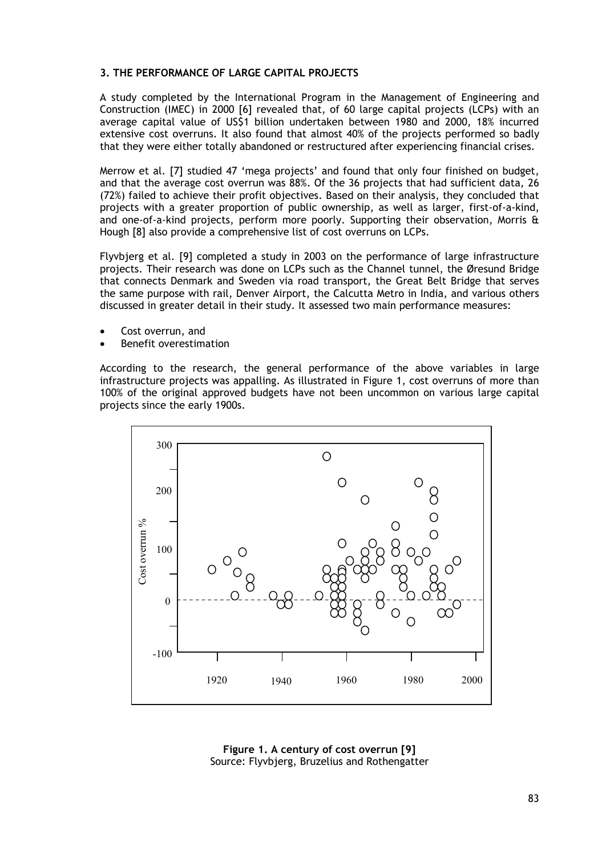# **3. THE PERFORMANCE OF LARGE CAPITAL PROJECTS**

A study completed by the International Program in the Management of Engineering and Construction (IMEC) in 2000 [6] revealed that, of 60 large capital projects (LCPs) with an average capital value of US\$1 billion undertaken between 1980 and 2000, 18% incurred extensive cost overruns. It also found that almost 40% of the projects performed so badly that they were either totally abandoned or restructured after experiencing financial crises.

Merrow et al. [7] studied 47 'mega projects' and found that only four finished on budget, and that the average cost overrun was 88%. Of the 36 projects that had sufficient data, 26 (72%) failed to achieve their profit objectives. Based on their analysis, they concluded that projects with a greater proportion of public ownership, as well as larger, first-of-a-kind, and one-of-a-kind projects, perform more poorly. Supporting their observation, Morris & Hough [8] also provide a comprehensive list of cost overruns on LCPs.

Flyvbjerg et al. [9] completed a study in 2003 on the performance of large infrastructure projects. Their research was done on LCPs such as the Channel tunnel, the Øresund Bridge that connects Denmark and Sweden via road transport, the Great Belt Bridge that serves the same purpose with rail, Denver Airport, the Calcutta Metro in India, and various others discussed in greater detail in their study. It assessed two main performance measures:

- Cost overrun, and
- Benefit overestimation

According to the research, the general performance of the above variables in large infrastructure projects was appalling. As illustrated in Figure 1, cost overruns of more than 100% of the original approved budgets have not been uncommon on various large capital projects since the early 1900s.



**Figure 1. A century of cost overrun [9]** Source: Flyvbjerg, Bruzelius and Rothengatter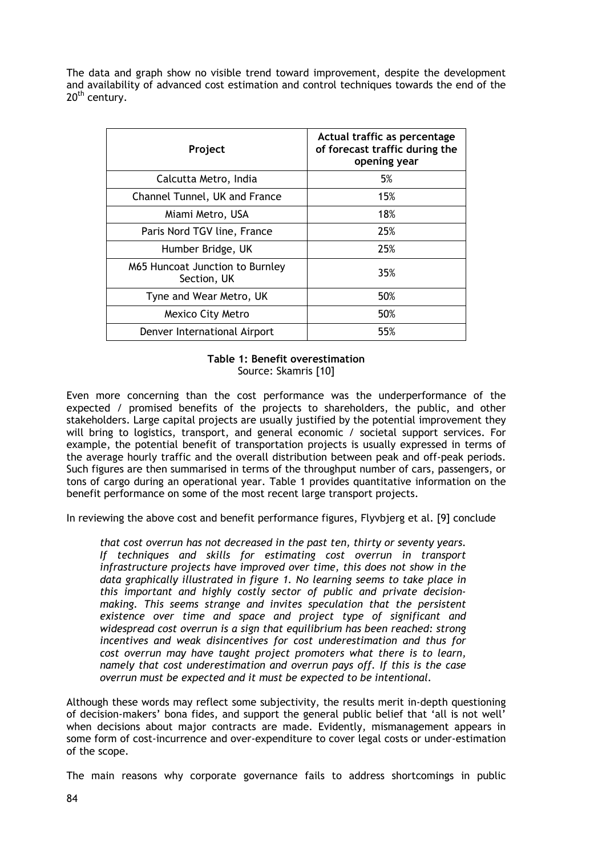The data and graph show no visible trend toward improvement, despite the development and availability of advanced cost estimation and control techniques towards the end of the 20<sup>th</sup> century.

| Project                                        | Actual traffic as percentage<br>of forecast traffic during the<br>opening year |
|------------------------------------------------|--------------------------------------------------------------------------------|
| Calcutta Metro, India                          | 5%                                                                             |
| Channel Tunnel, UK and France                  | 15%                                                                            |
| Miami Metro, USA                               | 18%                                                                            |
| Paris Nord TGV line, France                    | 25%                                                                            |
| Humber Bridge, UK                              | 25%                                                                            |
| M65 Huncoat Junction to Burnley<br>Section, UK | 35%                                                                            |
| Tyne and Wear Metro, UK                        | 50%                                                                            |
| Mexico City Metro                              | 50%                                                                            |
| Denver International Airport                   | 55%                                                                            |

### **Table 1: Benefit overestimation**  Source: Skamris [10]

Even more concerning than the cost performance was the underperformance of the expected / promised benefits of the projects to shareholders, the public, and other stakeholders. Large capital projects are usually justified by the potential improvement they will bring to logistics, transport, and general economic / societal support services. For example, the potential benefit of transportation projects is usually expressed in terms of the average hourly traffic and the overall distribution between peak and off-peak periods. Such figures are then summarised in terms of the throughput number of cars, passengers, or tons of cargo during an operational year. Table 1 provides quantitative information on the benefit performance on some of the most recent large transport projects.

In reviewing the above cost and benefit performance figures, Flyvbjerg et al. [9] conclude

*that cost overrun has not decreased in the past ten, thirty or seventy years. If techniques and skills for estimating cost overrun in transport infrastructure projects have improved over time, this does not show in the data graphically illustrated in figure 1. No learning seems to take place in this important and highly costly sector of public and private decisionmaking. This seems strange and invites speculation that the persistent existence over time and space and project type of significant and widespread cost overrun is a sign that equilibrium has been reached: strong incentives and weak disincentives for cost underestimation and thus for cost overrun may have taught project promoters what there is to learn, namely that cost underestimation and overrun pays off. If this is the case overrun must be expected and it must be expected to be intentional.* 

Although these words may reflect some subjectivity, the results merit in-depth questioning of decision-makers' bona fides, and support the general public belief that 'all is not well' when decisions about major contracts are made. Evidently, mismanagement appears in some form of cost-incurrence and over-expenditure to cover legal costs or under-estimation of the scope.

The main reasons why corporate governance fails to address shortcomings in public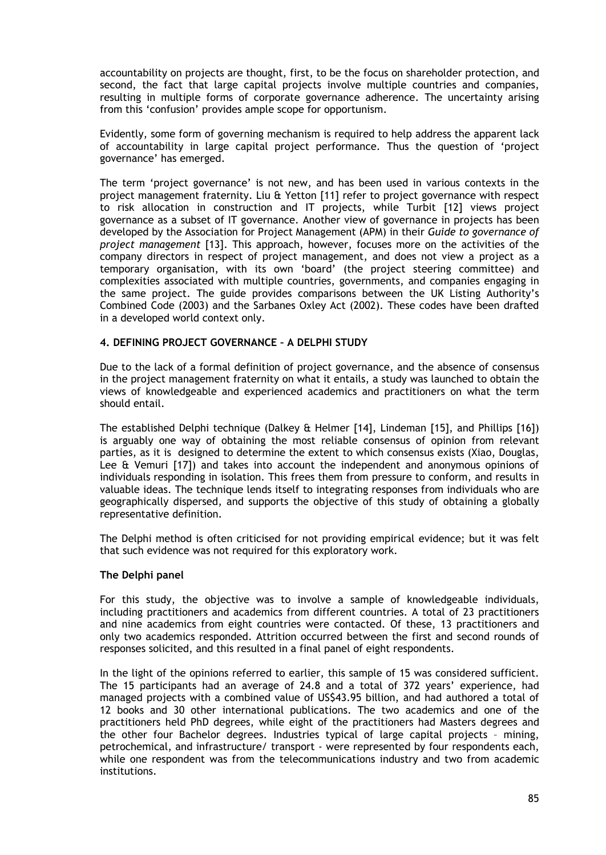accountability on projects are thought, first, to be the focus on shareholder protection, and second, the fact that large capital projects involve multiple countries and companies, resulting in multiple forms of corporate governance adherence. The uncertainty arising from this 'confusion' provides ample scope for opportunism.

Evidently, some form of governing mechanism is required to help address the apparent lack of accountability in large capital project performance. Thus the question of 'project governance' has emerged.

The term 'project governance' is not new, and has been used in various contexts in the project management fraternity. Liu & Yetton [11] refer to project governance with respect to risk allocation in construction and IT projects, while Turbit [12] views project governance as a subset of IT governance. Another view of governance in projects has been developed by the Association for Project Management (APM) in their *Guide to governance of project management* [13]. This approach, however, focuses more on the activities of the company directors in respect of project management, and does not view a project as a temporary organisation, with its own 'board' (the project steering committee) and complexities associated with multiple countries, governments, and companies engaging in the same project. The guide provides comparisons between the UK Listing Authority's Combined Code (2003) and the Sarbanes Oxley Act (2002). These codes have been drafted in a developed world context only.

### **4. DEFINING PROJECT GOVERNANCE – A DELPHI STUDY**

Due to the lack of a formal definition of project governance, and the absence of consensus in the project management fraternity on what it entails, a study was launched to obtain the views of knowledgeable and experienced academics and practitioners on what the term should entail.

The established Delphi technique (Dalkey & Helmer [14], Lindeman [15], and Phillips [16]) is arguably one way of obtaining the most reliable consensus of opinion from relevant parties, as it is designed to determine the extent to which consensus exists (Xiao, Douglas, Lee & Vemuri [17]) and takes into account the independent and anonymous opinions of individuals responding in isolation. This frees them from pressure to conform, and results in valuable ideas. The technique lends itself to integrating responses from individuals who are geographically dispersed, and supports the objective of this study of obtaining a globally representative definition.

The Delphi method is often criticised for not providing empirical evidence; but it was felt that such evidence was not required for this exploratory work.

#### **The Delphi panel**

For this study, the objective was to involve a sample of knowledgeable individuals, including practitioners and academics from different countries. A total of 23 practitioners and nine academics from eight countries were contacted. Of these, 13 practitioners and only two academics responded. Attrition occurred between the first and second rounds of responses solicited, and this resulted in a final panel of eight respondents.

In the light of the opinions referred to earlier, this sample of 15 was considered sufficient. The 15 participants had an average of 24.8 and a total of 372 years' experience, had managed projects with a combined value of US\$43.95 billion, and had authored a total of 12 books and 30 other international publications. The two academics and one of the practitioners held PhD degrees, while eight of the practitioners had Masters degrees and the other four Bachelor degrees. Industries typical of large capital projects – mining, petrochemical, and infrastructure/ transport - were represented by four respondents each, while one respondent was from the telecommunications industry and two from academic institutions.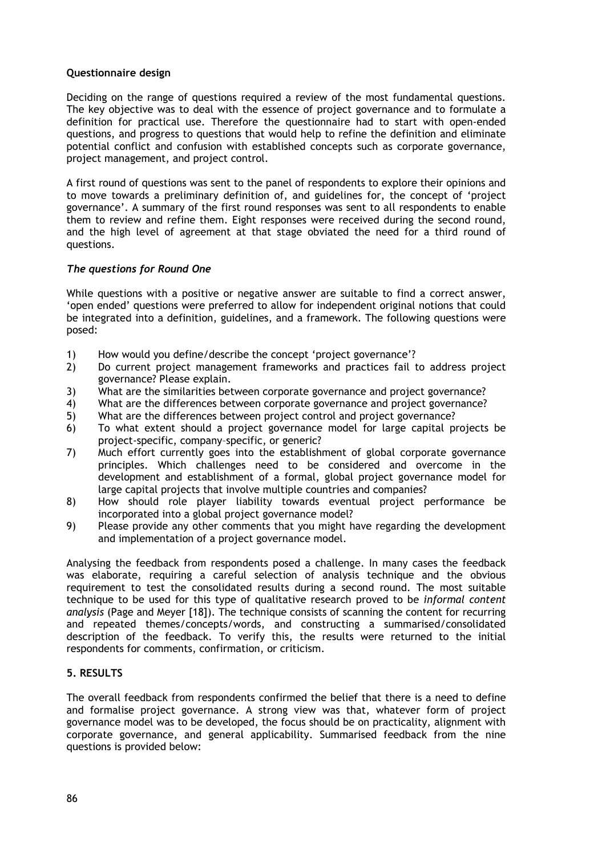### **Questionnaire design**

Deciding on the range of questions required a review of the most fundamental questions. The key objective was to deal with the essence of project governance and to formulate a definition for practical use. Therefore the questionnaire had to start with open-ended questions, and progress to questions that would help to refine the definition and eliminate potential conflict and confusion with established concepts such as corporate governance, project management, and project control.

A first round of questions was sent to the panel of respondents to explore their opinions and to move towards a preliminary definition of, and guidelines for, the concept of 'project governance'. A summary of the first round responses was sent to all respondents to enable them to review and refine them. Eight responses were received during the second round, and the high level of agreement at that stage obviated the need for a third round of questions.

## *The questions for Round One*

While questions with a positive or negative answer are suitable to find a correct answer, 'open ended' questions were preferred to allow for independent original notions that could be integrated into a definition, guidelines, and a framework. The following questions were posed:

- 1) How would you define/describe the concept 'project governance'?
- 2) Do current project management frameworks and practices fail to address project governance? Please explain.
- 3) What are the similarities between corporate governance and project governance?
- 4) What are the differences between corporate governance and project governance?
- 5) What are the differences between project control and project governance?
- 6) To what extent should a project governance model for large capital projects be project-specific, company–specific, or generic?
- 7) Much effort currently goes into the establishment of global corporate governance principles. Which challenges need to be considered and overcome in the development and establishment of a formal, global project governance model for large capital projects that involve multiple countries and companies?
- 8) How should role player liability towards eventual project performance be incorporated into a global project governance model?
- 9) Please provide any other comments that you might have regarding the development and implementation of a project governance model.

Analysing the feedback from respondents posed a challenge. In many cases the feedback was elaborate, requiring a careful selection of analysis technique and the obvious requirement to test the consolidated results during a second round. The most suitable technique to be used for this type of qualitative research proved to be *informal content analysis* (Page and Meyer [18]). The technique consists of scanning the content for recurring and repeated themes/concepts/words, and constructing a summarised/consolidated description of the feedback. To verify this, the results were returned to the initial respondents for comments, confirmation, or criticism.

# **5. RESULTS**

The overall feedback from respondents confirmed the belief that there is a need to define and formalise project governance. A strong view was that, whatever form of project governance model was to be developed, the focus should be on practicality, alignment with corporate governance, and general applicability. Summarised feedback from the nine questions is provided below: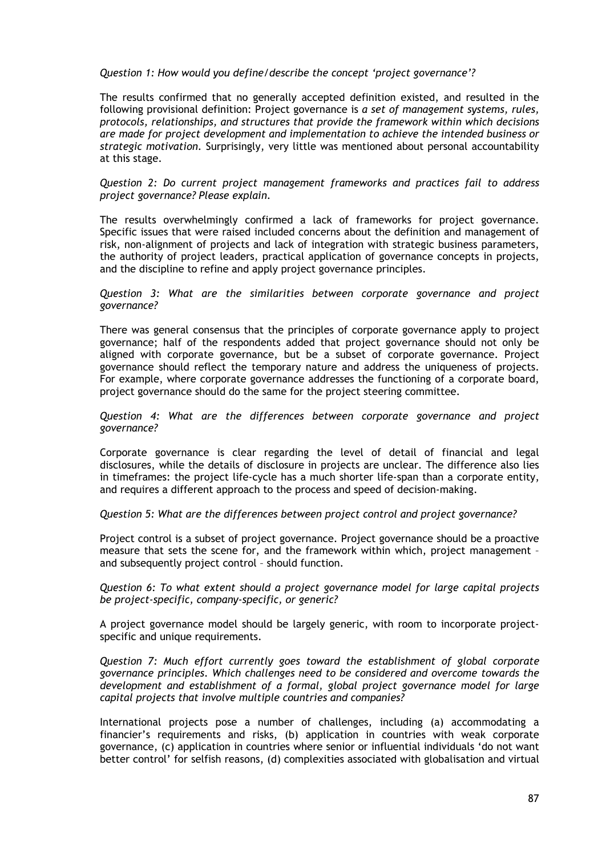*Question 1: How would you define/describe the concept 'project governance'?* 

The results confirmed that no generally accepted definition existed, and resulted in the following provisional definition: Project governance is *a set of management systems, rules, protocols, relationships, and structures that provide the framework within which decisions are made for project development and implementation to achieve the intended business or strategic motivation.* Surprisingly, very little was mentioned about personal accountability at this stage.

*Question 2: Do current project management frameworks and practices fail to address project governance? Please explain.* 

The results overwhelmingly confirmed a lack of frameworks for project governance. Specific issues that were raised included concerns about the definition and management of risk, non-alignment of projects and lack of integration with strategic business parameters, the authority of project leaders, practical application of governance concepts in projects, and the discipline to refine and apply project governance principles.

#### *Question 3: What are the similarities between corporate governance and project governance?*

There was general consensus that the principles of corporate governance apply to project governance; half of the respondents added that project governance should not only be aligned with corporate governance, but be a subset of corporate governance. Project governance should reflect the temporary nature and address the uniqueness of projects. For example, where corporate governance addresses the functioning of a corporate board, project governance should do the same for the project steering committee.

*Question 4: What are the differences between corporate governance and project governance?* 

Corporate governance is clear regarding the level of detail of financial and legal disclosures, while the details of disclosure in projects are unclear. The difference also lies in timeframes: the project life-cycle has a much shorter life-span than a corporate entity, and requires a different approach to the process and speed of decision-making.

#### *Question 5: What are the differences between project control and project governance?*

Project control is a subset of project governance. Project governance should be a proactive measure that sets the scene for, and the framework within which, project management – and subsequently project control – should function.

*Question 6: To what extent should a project governance model for large capital projects be project-specific, company-specific, or generic?* 

A project governance model should be largely generic, with room to incorporate projectspecific and unique requirements.

*Question 7: Much effort currently goes toward the establishment of global corporate governance principles. Which challenges need to be considered and overcome towards the development and establishment of a formal, global project governance model for large capital projects that involve multiple countries and companies?* 

International projects pose a number of challenges, including (a) accommodating a financier's requirements and risks, (b) application in countries with weak corporate governance, (c) application in countries where senior or influential individuals 'do not want better control' for selfish reasons, (d) complexities associated with globalisation and virtual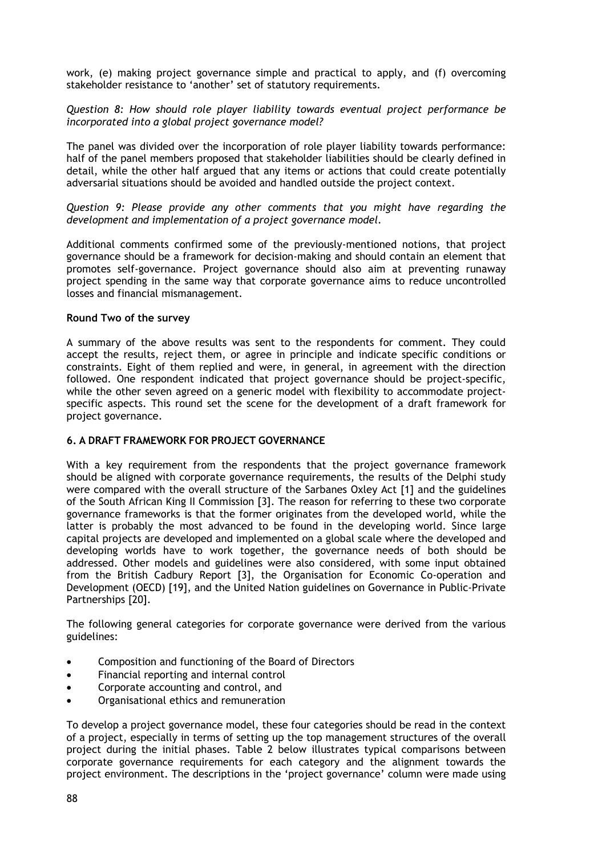work, (e) making project governance simple and practical to apply, and (f) overcoming stakeholder resistance to 'another' set of statutory requirements.

*Question 8: How should role player liability towards eventual project performance be incorporated into a global project governance model?* 

The panel was divided over the incorporation of role player liability towards performance: half of the panel members proposed that stakeholder liabilities should be clearly defined in detail, while the other half argued that any items or actions that could create potentially adversarial situations should be avoided and handled outside the project context.

*Question 9: Please provide any other comments that you might have regarding the development and implementation of a project governance model.* 

Additional comments confirmed some of the previously-mentioned notions, that project governance should be a framework for decision-making and should contain an element that promotes self-governance. Project governance should also aim at preventing runaway project spending in the same way that corporate governance aims to reduce uncontrolled losses and financial mismanagement.

#### **Round Two of the survey**

A summary of the above results was sent to the respondents for comment. They could accept the results, reject them, or agree in principle and indicate specific conditions or constraints. Eight of them replied and were, in general, in agreement with the direction followed. One respondent indicated that project governance should be project-specific, while the other seven agreed on a generic model with flexibility to accommodate projectspecific aspects. This round set the scene for the development of a draft framework for project governance.

### **6. A DRAFT FRAMEWORK FOR PROJECT GOVERNANCE**

With a key requirement from the respondents that the project governance framework should be aligned with corporate governance requirements, the results of the Delphi study were compared with the overall structure of the Sarbanes Oxley Act [1] and the guidelines of the South African King II Commission [3]. The reason for referring to these two corporate governance frameworks is that the former originates from the developed world, while the latter is probably the most advanced to be found in the developing world. Since large capital projects are developed and implemented on a global scale where the developed and developing worlds have to work together, the governance needs of both should be addressed. Other models and guidelines were also considered, with some input obtained from the British Cadbury Report [3], the Organisation for Economic Co-operation and Development (OECD) [19], and the United Nation guidelines on Governance in Public-Private Partnerships [20].

The following general categories for corporate governance were derived from the various guidelines:

- Composition and functioning of the Board of Directors
- Financial reporting and internal control
- Corporate accounting and control, and
- Organisational ethics and remuneration

To develop a project governance model, these four categories should be read in the context of a project, especially in terms of setting up the top management structures of the overall project during the initial phases. Table 2 below illustrates typical comparisons between corporate governance requirements for each category and the alignment towards the project environment. The descriptions in the 'project governance' column were made using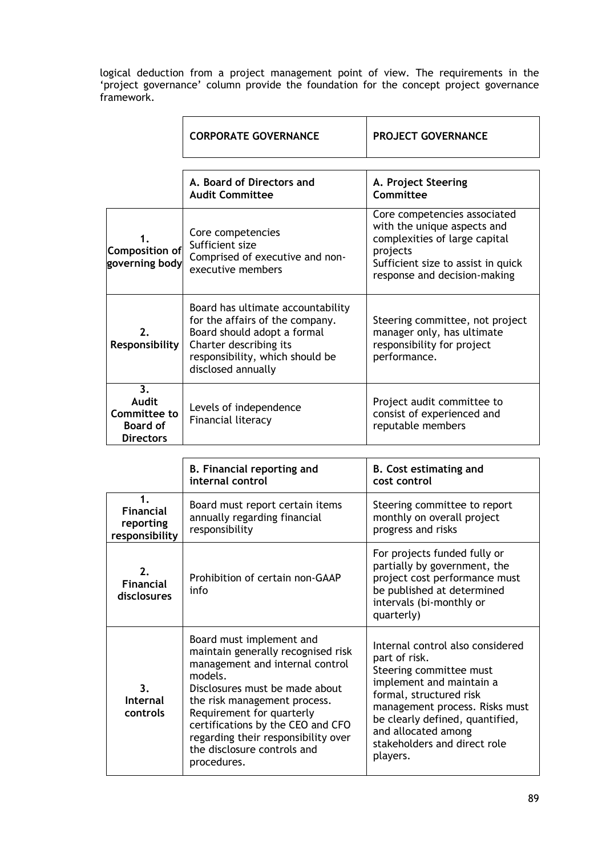logical deduction from a project management point of view. The requirements in the 'project governance' column provide the foundation for the concept project governance framework.

|                                                                                | <b>CORPORATE GOVERNANCE</b>                                                                                                                                                            | <b>PROJECT GOVERNANCE</b>                                                                                                                                                      |
|--------------------------------------------------------------------------------|----------------------------------------------------------------------------------------------------------------------------------------------------------------------------------------|--------------------------------------------------------------------------------------------------------------------------------------------------------------------------------|
|                                                                                |                                                                                                                                                                                        |                                                                                                                                                                                |
|                                                                                | A. Board of Directors and<br><b>Audit Committee</b>                                                                                                                                    | A. Project Steering<br>Committee                                                                                                                                               |
| <b>Composition of</b><br>governing body                                        | Core competencies<br>Sufficient size<br>Comprised of executive and non-<br>executive members                                                                                           | Core competencies associated<br>with the unique aspects and<br>complexities of large capital<br>projects<br>Sufficient size to assist in quick<br>response and decision-making |
| 2.<br>Responsibility                                                           | Board has ultimate accountability<br>for the affairs of the company.<br>Board should adopt a formal<br>Charter describing its<br>responsibility, which should be<br>disclosed annually | Steering committee, not project<br>manager only, has ultimate<br>responsibility for project<br>performance.                                                                    |
| 3 <sub>1</sub><br>Audit<br>Committee to<br><b>Board of</b><br><b>Directors</b> | Levels of independence<br>Financial literacy                                                                                                                                           | Project audit committee to<br>consist of experienced and<br>reputable members                                                                                                  |

|                                                                  | B. Financial reporting and<br>internal control                                                                                                                                                                                                                                                                                        | <b>B.</b> Cost estimating and<br>cost control                                                                                                                                                                                                                               |
|------------------------------------------------------------------|---------------------------------------------------------------------------------------------------------------------------------------------------------------------------------------------------------------------------------------------------------------------------------------------------------------------------------------|-----------------------------------------------------------------------------------------------------------------------------------------------------------------------------------------------------------------------------------------------------------------------------|
| $\mathbf 1$ .<br><b>Financial</b><br>reporting<br>responsibility | Board must report certain items<br>annually regarding financial<br>responsibility                                                                                                                                                                                                                                                     | Steering committee to report<br>monthly on overall project<br>progress and risks                                                                                                                                                                                            |
| $\mathbf{p}$<br><b>Financial</b><br>disclosures                  | Prohibition of certain non-GAAP<br>info                                                                                                                                                                                                                                                                                               | For projects funded fully or<br>partially by government, the<br>project cost performance must<br>be published at determined<br>intervals (bi-monthly or<br>quarterly)                                                                                                       |
| 3 <sub>1</sub><br>Internal<br>controls                           | Board must implement and<br>maintain generally recognised risk<br>management and internal control<br>models.<br>Disclosures must be made about<br>the risk management process.<br>Requirement for quarterly<br>certifications by the CEO and CFO<br>regarding their responsibility over<br>the disclosure controls and<br>procedures. | Internal control also considered<br>part of risk.<br>Steering committee must<br>implement and maintain a<br>formal, structured risk<br>management process. Risks must<br>be clearly defined, quantified,<br>and allocated among<br>stakeholders and direct role<br>players. |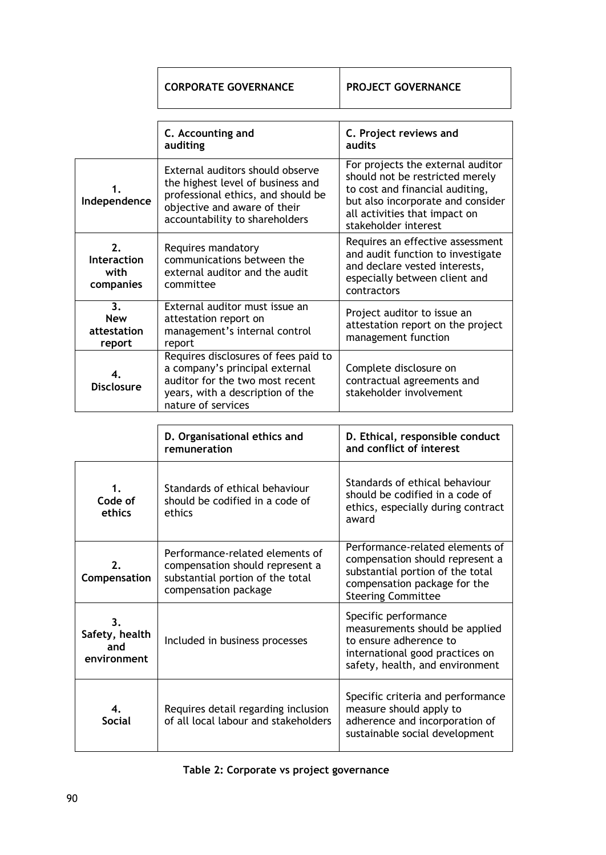| <b>CORPORATE GOVERNANCE</b>                                                                                                                                                   | <b>PROJECT GOVERNANCE</b>                                                                                                                                                                             |  |  |
|-------------------------------------------------------------------------------------------------------------------------------------------------------------------------------|-------------------------------------------------------------------------------------------------------------------------------------------------------------------------------------------------------|--|--|
| C. Accounting and<br>auditing                                                                                                                                                 | C. Project reviews and<br>audits                                                                                                                                                                      |  |  |
| External auditors should observe<br>the highest level of business and<br>professional ethics, and should be<br>objective and aware of their<br>accountability to shareholders | For projects the external auditor<br>should not be restricted merely<br>to cost and financial auditing,<br>but also incorporate and consider<br>all activities that impact on<br>stakeholder interest |  |  |
| Requires mandatory<br>communications between the<br>external auditor and the audit<br>committee                                                                               | Requires an effective assessment<br>and audit function to investigate<br>and declare vested interests,<br>especially between client and<br>contractors                                                |  |  |
| External auditor must issue an<br>attestation report on<br>management's internal control<br>report                                                                            | Project auditor to issue an<br>attestation report on the project<br>management function                                                                                                               |  |  |
| Requires disclosures of fees paid to<br>a company's principal external<br>auditor for the two most recent<br>years, with a description of the<br>nature of services           | Complete disclosure on<br>contractual agreements and<br>stakeholder involvement                                                                                                                       |  |  |
|                                                                                                                                                                               |                                                                                                                                                                                                       |  |  |
| D. Organisational ethics and<br>remuneration                                                                                                                                  | D. Ethical, responsible conduct<br>and conflict of interest                                                                                                                                           |  |  |
|                                                                                                                                                                               |                                                                                                                                                                                                       |  |  |

| 1.<br>Code of<br>ethics                    | Standards of ethical behaviour<br>should be codified in a code of<br>ethics                                                    | Standards of ethical behaviour<br>should be codified in a code of<br>ethics, especially during contract<br>award                                                    |
|--------------------------------------------|--------------------------------------------------------------------------------------------------------------------------------|---------------------------------------------------------------------------------------------------------------------------------------------------------------------|
| 2.<br>Compensation                         | Performance-related elements of<br>compensation should represent a<br>substantial portion of the total<br>compensation package | Performance-related elements of<br>compensation should represent a<br>substantial portion of the total<br>compensation package for the<br><b>Steering Committee</b> |
| 3.<br>Safety, health<br>and<br>environment | Included in business processes                                                                                                 | Specific performance<br>measurements should be applied<br>to ensure adherence to<br>international good practices on<br>safety, health, and environment              |
| 4.<br><b>Social</b>                        | Requires detail regarding inclusion<br>of all local labour and stakeholders                                                    | Specific criteria and performance<br>measure should apply to<br>adherence and incorporation of<br>sustainable social development                                    |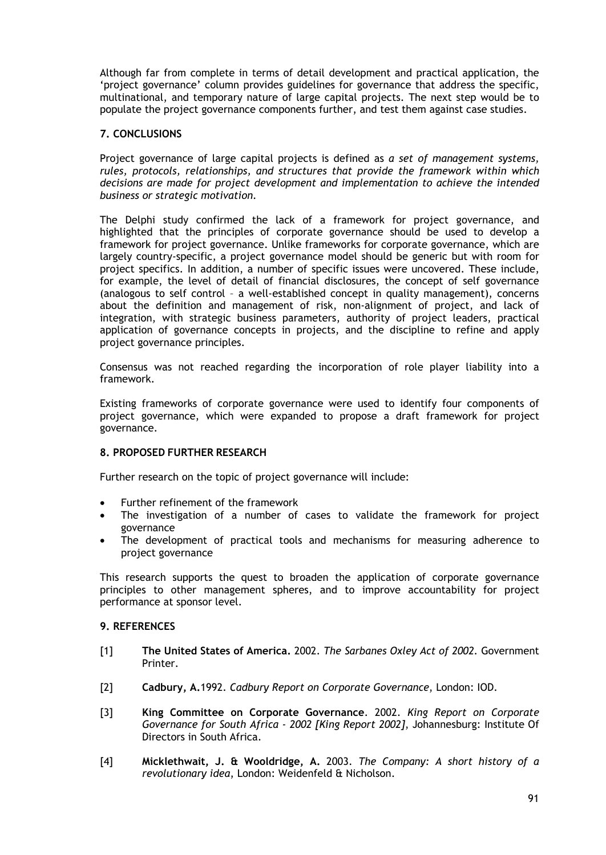Although far from complete in terms of detail development and practical application, the 'project governance' column provides guidelines for governance that address the specific, multinational, and temporary nature of large capital projects. The next step would be to populate the project governance components further, and test them against case studies.

# **7. CONCLUSIONS**

Project governance of large capital projects is defined as *a set of management systems, rules, protocols, relationships, and structures that provide the framework within which decisions are made for project development and implementation to achieve the intended business or strategic motivation.*

The Delphi study confirmed the lack of a framework for project governance, and highlighted that the principles of corporate governance should be used to develop a framework for project governance. Unlike frameworks for corporate governance, which are largely country-specific, a project governance model should be generic but with room for project specifics. In addition, a number of specific issues were uncovered. These include, for example, the level of detail of financial disclosures, the concept of self governance (analogous to self control – a well-established concept in quality management), concerns about the definition and management of risk, non-alignment of project, and lack of integration, with strategic business parameters, authority of project leaders, practical application of governance concepts in projects, and the discipline to refine and apply project governance principles.

Consensus was not reached regarding the incorporation of role player liability into a framework.

Existing frameworks of corporate governance were used to identify four components of project governance, which were expanded to propose a draft framework for project governance.

## **8. PROPOSED FURTHER RESEARCH**

Further research on the topic of project governance will include:

- Further refinement of the framework
- The investigation of a number of cases to validate the framework for project governance
- The development of practical tools and mechanisms for measuring adherence to project governance

This research supports the quest to broaden the application of corporate governance principles to other management spheres, and to improve accountability for project performance at sponsor level.

### **9. REFERENCES**

- [1] **The United States of America.** 2002. *The Sarbanes Oxley Act of 2002.* Government Printer.
- [2] **Cadbury, A.**1992. *Cadbury Report on Corporate Governance*, London: IOD.
- [3] **King Committee on Corporate Governance**. 2002. *King Report on Corporate Governance for South Africa - 2002 [King Report 2002]*, Johannesburg: Institute Of Directors in South Africa.
- [4] **Micklethwait, J. & Wooldridge, A.** 2003. *The Company: A short history of a revolutionary idea*, London: Weidenfeld & Nicholson.